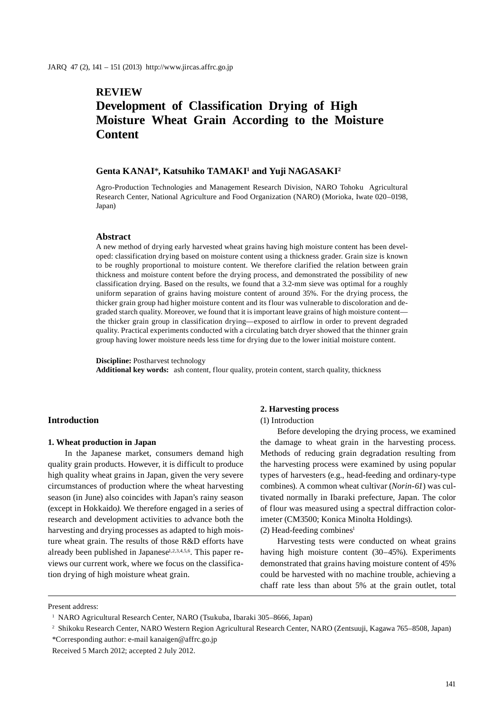# **REVIEW Development of Classification Drying of High Moisture Wheat Grain According to the Moisture Content**

## **Genta KANAI**\***, Katsuhiko TAMAKI1 and Yuji NAGASAKI2**

Agro-Production Technologies and Management Research Division, NARO Tohoku Agricultural Research Center, National Agriculture and Food Organization (NARO) (Morioka, Iwate 020–0198, Japan)

## **Abstract**

A new method of drying early harvested wheat grains having high moisture content has been developed: classification drying based on moisture content using a thickness grader. Grain size is known to be roughly proportional to moisture content. We therefore clarified the relation between grain thickness and moisture content before the drying process, and demonstrated the possibility of new classification drying. Based on the results, we found that a 3.2-mm sieve was optimal for a roughly uniform separation of grains having moisture content of around 35%. For the drying process, the thicker grain group had higher moisture content and its flour was vulnerable to discoloration and degraded starch quality. Moreover, we found that it is important leave grains of high moisture content the thicker grain group in classification drying—exposed to airflow in order to prevent degraded quality. Practical experiments conducted with a circulating batch dryer showed that the thinner grain group having lower moisture needs less time for drying due to the lower initial moisture content.

**Discipline:** Postharvest technology **Additional key words:** ash content, flour quality, protein content, starch quality, thickness

## **Introduction**

### **1. Wheat production in Japan**

In the Japanese market, consumers demand high quality grain products. However, it is difficult to produce high quality wheat grains in Japan, given the very severe circumstances of production where the wheat harvesting season (in June) also coincides with Japan's rainy season (except in Hokkaido*)*. We therefore engaged in a series of research and development activities to advance both the harvesting and drying processes as adapted to high moisture wheat grain. The results of those R&D efforts have already been published in Japanese<sup>1,2,3,4,5,6</sup>. This paper reviews our current work, where we focus on the classification drying of high moisture wheat grain.

## **2. Harvesting process**

(1) Introduction

Before developing the drying process, we examined the damage to wheat grain in the harvesting process. Methods of reducing grain degradation resulting from the harvesting process were examined by using popular types of harvesters (e.g., head-feeding and ordinary-type combines). A common wheat cultivar (*Norin-61*) was cultivated normally in Ibaraki prefecture, Japan. The color of flour was measured using a spectral diffraction colorimeter (CM3500; Konica Minolta Holdings).

(2) Head-feeding combines<sup>1</sup>

Harvesting tests were conducted on wheat grains having high moisture content (30–45%). Experiments demonstrated that grains having moisture content of 45% could be harvested with no machine trouble, achieving a chaff rate less than about 5% at the grain outlet, total

Present address:

<sup>&</sup>lt;sup>1</sup> NARO Agricultural Research Center, NARO (Tsukuba, Ibaraki 305–8666, Japan)

<sup>2</sup> Shikoku Research Center, NARO Western Region Agricultural Research Center, NARO (Zentsuuji, Kagawa 765–8508, Japan) \*Corresponding author: e-mail kanaigen@affrc.go.jp

Received 5 March 2012; accepted 2 July 2012.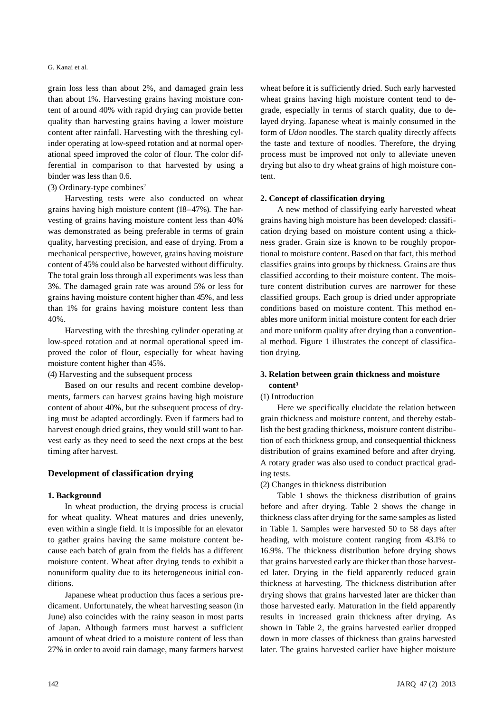## G. Kanai et al.

grain loss less than about 2%, and damaged grain less than about 1%. Harvesting grains having moisture content of around 40% with rapid drying can provide better quality than harvesting grains having a lower moisture content after rainfall. Harvesting with the threshing cylinder operating at low-speed rotation and at normal operational speed improved the color of flour. The color differential in comparison to that harvested by using a binder was less than 0.6.

## (3) Ordinary-type combines<sup>2</sup>

Harvesting tests were also conducted on wheat grains having high moisture content (18–47%). The harvesting of grains having moisture content less than 40% was demonstrated as being preferable in terms of grain quality, harvesting precision, and ease of drying. From a mechanical perspective, however, grains having moisture content of 45% could also be harvested without difficulty. The total grain loss through all experiments was less than 3%. The damaged grain rate was around 5% or less for grains having moisture content higher than 45%, and less than 1% for grains having moisture content less than 40%.

Harvesting with the threshing cylinder operating at low-speed rotation and at normal operational speed improved the color of flour, especially for wheat having moisture content higher than 45%.

(4) Harvesting and the subsequent process

Based on our results and recent combine developments, farmers can harvest grains having high moisture content of about 40%, but the subsequent process of drying must be adapted accordingly. Even if farmers had to harvest enough dried grains, they would still want to harvest early as they need to seed the next crops at the best timing after harvest.

# **Development of classification drying**

#### **1. Background**

In wheat production, the drying process is crucial for wheat quality. Wheat matures and dries unevenly, even within a single field. It is impossible for an elevator to gather grains having the same moisture content because each batch of grain from the fields has a different moisture content. Wheat after drying tends to exhibit a nonuniform quality due to its heterogeneous initial conditions.

Japanese wheat production thus faces a serious predicament. Unfortunately, the wheat harvesting season (in June) also coincides with the rainy season in most parts of Japan. Although farmers must harvest a sufficient amount of wheat dried to a moisture content of less than 27% in order to avoid rain damage, many farmers harvest

wheat before it is sufficiently dried. Such early harvested wheat grains having high moisture content tend to degrade, especially in terms of starch quality, due to delayed drying. Japanese wheat is mainly consumed in the form of *Udon* noodles. The starch quality directly affects the taste and texture of noodles. Therefore, the drying process must be improved not only to alleviate uneven drying but also to dry wheat grains of high moisture content.

## **2. Concept of classification drying**

A new method of classifying early harvested wheat grains having high moisture has been developed: classification drying based on moisture content using a thickness grader. Grain size is known to be roughly proportional to moisture content. Based on that fact, this method classifies grains into groups by thickness. Grains are thus classified according to their moisture content. The moisture content distribution curves are narrower for these classified groups. Each group is dried under appropriate conditions based on moisture content. This method enables more uniform initial moisture content for each drier and more uniform quality after drying than a conventional method. Figure 1 illustrates the concept of classification drying.

# **3. Relation between grain thickness and moisture content3**

# (1) Introduction

Here we specifically elucidate the relation between grain thickness and moisture content, and thereby establish the best grading thickness, moisture content distribution of each thickness group, and consequential thickness distribution of grains examined before and after drying. A rotary grader was also used to conduct practical grading tests.

(2) Changes in thickness distribution

Table 1 shows the thickness distribution of grains before and after drying. Table 2 shows the change in thickness class after drying for the same samples as listed in Table 1. Samples were harvested 50 to 58 days after heading, with moisture content ranging from 43.1% to 16.9%. The thickness distribution before drying shows that grains harvested early are thicker than those harvested later. Drying in the field apparently reduced grain thickness at harvesting. The thickness distribution after drying shows that grains harvested later are thicker than those harvested early. Maturation in the field apparently results in increased grain thickness after drying. As shown in Table 2, the grains harvested earlier dropped down in more classes of thickness than grains harvested later. The grains harvested earlier have higher moisture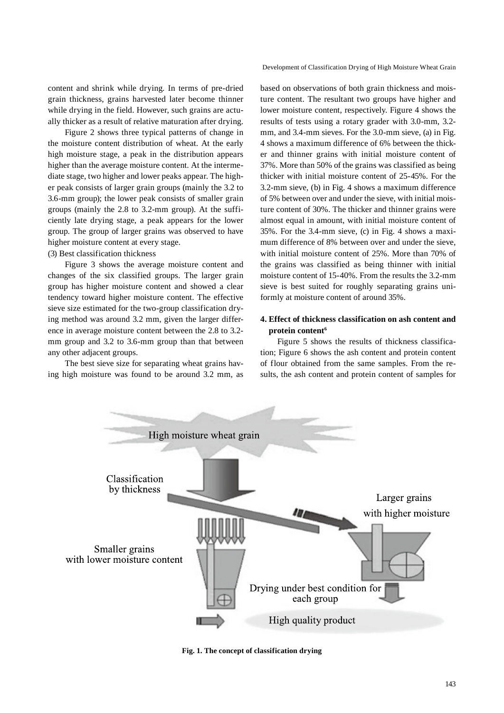Development of Classification Drying of High Moisture Wheat Grain

content and shrink while drying. In terms of pre-dried grain thickness, grains harvested later become thinner while drying in the field. However, such grains are actually thicker as a result of relative maturation after drying.

Figure 2 shows three typical patterns of change in the moisture content distribution of wheat. At the early high moisture stage, a peak in the distribution appears higher than the average moisture content. At the intermediate stage, two higher and lower peaks appear. The higher peak consists of larger grain groups (mainly the 3.2 to 3.6-mm group); the lower peak consists of smaller grain groups (mainly the 2.8 to 3.2-mm group). At the sufficiently late drying stage, a peak appears for the lower group. The group of larger grains was observed to have higher moisture content at every stage.

## (3) Best classification thickness

Figure 3 shows the average moisture content and changes of the six classified groups. The larger grain group has higher moisture content and showed a clear tendency toward higher moisture content. The effective sieve size estimated for the two-group classification drying method was around 3.2 mm, given the larger difference in average moisture content between the 2.8 to 3.2 mm group and 3.2 to 3.6-mm group than that between any other adjacent groups.

The best sieve size for separating wheat grains having high moisture was found to be around 3.2 mm, as based on observations of both grain thickness and moisture content. The resultant two groups have higher and lower moisture content, respectively. Figure 4 shows the results of tests using a rotary grader with 3.0-mm, 3.2 mm, and 3.4-mm sieves. For the 3.0-mm sieve, (a) in Fig. 4 shows a maximum difference of 6% between the thicker and thinner grains with initial moisture content of 37%. More than 50% of the grains was classified as being thicker with initial moisture content of 25-45%. For the 3.2-mm sieve, (b) in Fig. 4 shows a maximum difference of 5% between over and under the sieve, with initial moisture content of 30%. The thicker and thinner grains were almost equal in amount, with initial moisture content of 35%. For the 3.4-mm sieve, (c) in Fig. 4 shows a maximum difference of 8% between over and under the sieve, with initial moisture content of 25%. More than 70% of the grains was classified as being thinner with initial moisture content of 15-40%. From the results the 3.2-mm sieve is best suited for roughly separating grains uniformly at moisture content of around 35%.

# **4. Effect of thickness classification on ash content and protein content6**

Figure 5 shows the results of thickness classification; Figure 6 shows the ash content and protein content of flour obtained from the same samples. From the results, the ash content and protein content of samples for



**Fig. 1. The concept of classification drying**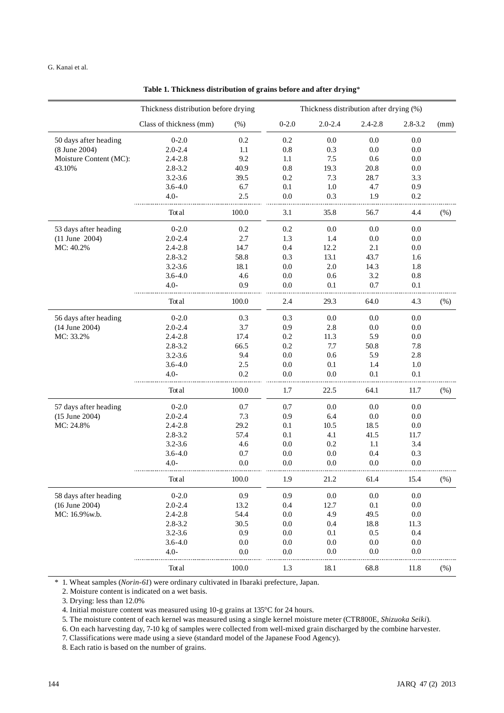|                        | Thickness distribution before drying |         | Thickness distribution after drying (%) |             |             |           |      |  |
|------------------------|--------------------------------------|---------|-----------------------------------------|-------------|-------------|-----------|------|--|
|                        | Class of thickness (mm)              | $(\%)$  | $0 - 2.0$                               | $2.0 - 2.4$ | $2.4 - 2.8$ | 2.8-3.2   | (mm) |  |
| 50 days after heading  | $0-2.0$                              | 0.2     | 0.2                                     | 0.0         | 0.0         | 0.0       |      |  |
| (8 June 2004)          | $2.0 - 2.4$                          | 1.1     | 0.8                                     | 0.3         | 0.0         | $0.0\,$   |      |  |
| Moisture Content (MC): | $2.4 - 2.8$                          | 9.2     | 1.1                                     | 7.5         | 0.6         | 0.0       |      |  |
| 43.10%                 | $2.8 - 3.2$                          | 40.9    | 0.8                                     | 19.3        | 20.8        | $0.0\,$   |      |  |
|                        | $3.2 - 3.6$                          | 39.5    | 0.2                                     | 7.3         | 28.7        | 3.3       |      |  |
|                        | $3.6 - 4.0$                          | 6.7     | 0.1                                     | 1.0         | 4.7         | 0.9       |      |  |
|                        | $4.0 -$                              | 2.5     | 0.0                                     | 0.3         | 1.9         | 0.2       |      |  |
|                        | Total                                | 100.0   | 3.1                                     | 35.8        | 56.7        | 4.4       | (%)  |  |
| 53 days after heading  | $0-2.0$                              | 0.2     | 0.2                                     | 0.0         | 0.0         | $0.0\,$   |      |  |
| $(11$ June 2004)       | $2.0 - 2.4$                          | 2.7     | 1.3                                     | 1.4         | 0.0         | 0.0       |      |  |
| MC: 40.2%              | $2.4 - 2.8$                          | 14.7    | 0.4                                     | 12.2        | 2.1         | 0.0       |      |  |
|                        | $2.8 - 3.2$                          | 58.8    | 0.3                                     | 13.1        | 43.7        | 1.6       |      |  |
|                        | $3.2 - 3.6$                          | 18.1    | 0.0                                     | $2.0\,$     | 14.3        | 1.8       |      |  |
|                        | $3.6 - 4.0$                          | 4.6     | 0.0                                     | 0.6         | 3.2         | $\rm 0.8$ |      |  |
|                        | $4.0 -$                              | 0.9     | 0.0                                     | 0.1         | 0.7         | 0.1       |      |  |
|                        | Total                                | 100.0   | 2.4                                     | 29.3        | 64.0        | 4.3       | (% ) |  |
| 56 days after heading  | $0-2.0$                              | 0.3     | 0.3                                     | 0.0         | 0.0         | 0.0       |      |  |
| (14 June 2004)         | $2.0 - 2.4$                          | 3.7     | 0.9                                     | 2.8         | 0.0         | $0.0\,$   |      |  |
| MC: 33.2%              | $2.4 - 2.8$                          | 17.4    | 0.2                                     | 11.3        | 5.9         | 0.0       |      |  |
|                        | $2.8 - 3.2$                          | 66.5    | 0.2                                     | 7.7         | 50.8        | 7.8       |      |  |
|                        | $3.2 - 3.6$                          | 9.4     | 0.0                                     | 0.6         | 5.9         | 2.8       |      |  |
|                        | $3.6 - 4.0$                          | 2.5     | 0.0                                     | 0.1         | 1.4         | 1.0       |      |  |
|                        | $4.0 -$                              | 0.2     | 0.0                                     | $0.0\,$     | 0.1         | 0.1       |      |  |
|                        | Total                                | 100.0   | 1.7                                     | 22.5        | 64.1        | 11.7      | (% ) |  |
| 57 days after heading  | $0 - 2.0$                            | 0.7     | 0.7                                     | $0.0\,$     | 0.0         | $0.0\,$   |      |  |
| $(15$ June 2004)       | $2.0 - 2.4$                          | 7.3     | 0.9                                     | 6.4         | $0.0\,$     | 0.0       |      |  |
| MC: 24.8%              | $2.4 - 2.8$                          | 29.2    | 0.1                                     | 10.5        | 18.5        | 0.0       |      |  |
|                        | $2.8 - 3.2$                          | 57.4    | 0.1                                     | 4.1         | 41.5        | 11.7      |      |  |
|                        | $3.2 - 3.6$                          | 4.6     | 0.0                                     | 0.2         | 1.1         | 3.4       |      |  |
|                        | $3.6 - 4.0$                          | 0.7     | 0.0                                     | 0.0         | 0.4         | 0.3       |      |  |
|                        | $4.0 -$                              | $0.0\,$ | 0.0                                     | 0.0         | 0.0         | 0.0       |      |  |
|                        | Tot al                               | 100.0   | 1.9                                     | 21.2        | 61.4        | 15.4      | (% ) |  |
| 58 days after heading  | $0 - 2.0$                            | 0.9     | 0.9                                     | $0.0\,$     | $0.0\,$     | $0.0\,$   |      |  |
| (16 June 2004)         | $2.0 - 2.4$                          | 13.2    | 0.4                                     | 12.7        | 0.1         | $0.0\,$   |      |  |
| MC: 16.9% w.b.         | $2.4 - 2.8$                          | 54.4    | $0.0\,$                                 | 4.9         | 49.5        | $0.0\,$   |      |  |
|                        | $2.8 - 3.2$                          | 30.5    | $0.0\,$                                 | 0.4         | 18.8        | 11.3      |      |  |
|                        | $3.2 - 3.6$                          | 0.9     | $0.0\,$                                 | $0.1\,$     | $0.5\,$     | 0.4       |      |  |
|                        | $3.6 - 4.0$                          | $0.0\,$ | 0.0                                     | $0.0\,$     | $0.0\,$     | $0.0\,$   |      |  |
|                        | $4.0 -$                              | $0.0\,$ | $0.0\,$                                 | $0.0\,$     | $0.0\,$     | $0.0\,$   |      |  |
|                        | Total                                | 100.0   | $1.3\,$                                 | 18.1        | 68.8        | 11.8      | (%)  |  |

**Table 1. Thickness distribution of grains before and after drying**\*

\* 1. Wheat samples (*Norin-61*) were ordinary cultivated in Ibaraki prefecture, Japan.

2. Moisture content is indicated on a wet basis.

3. Drying: less than 12.0%

4. Initial moisture content was measured using 10-g grains at 135°C for 24 hours.

5. The moisture content of each kernel was measured using a single kernel moisture meter (CTR800E, *Shizuoka Seiki*).

6. On each harvesting day, 7-10 kg of samples were collected from well-mixed grain discharged by the combine harvester.

7. Classifications were made using a sieve (standard model of the Japanese Food Agency).

8. Each ratio is based on the number of grains.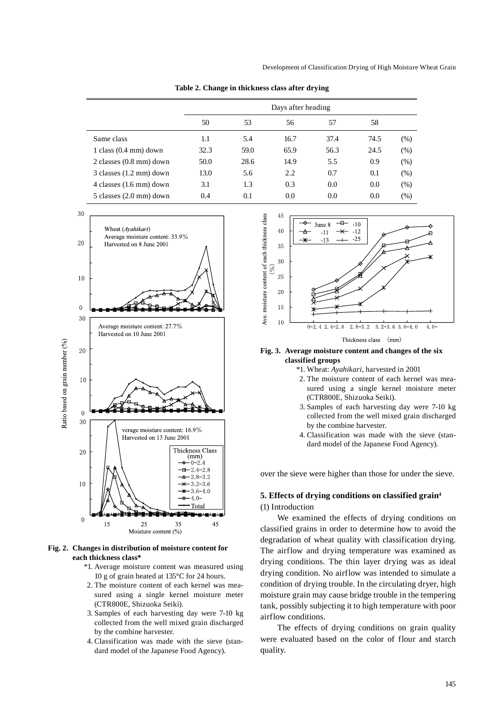|                                     | Days after heading |      |      |      |      |        |
|-------------------------------------|--------------------|------|------|------|------|--------|
|                                     | 50                 | 53   | 56   | 57   | 58   |        |
| Same class                          | 1.1                | 5.4  | 16.7 | 37.4 | 74.5 | (% )   |
| $1$ class $(0.4 \text{ mm})$ down   | 32.3               | 59.0 | 65.9 | 56.3 | 24.5 | $(\%)$ |
| $2$ classes $(0.8 \text{ mm})$ down | 50.0               | 28.6 | 14.9 | 5.5  | 0.9  | $(\%)$ |
| $3$ classes $(1.2 \text{ mm})$ down | 13.0               | 5.6  | 2.2  | 0.7  | 0.1  | $(\%)$ |
| 4 classes $(1.6 \text{ mm})$ down   | 3.1                | 1.3  | 0.3  | 0.0  | 0.0  | $(\%)$ |
| $5$ classes $(2.0 \text{ mm})$ down | 0.4                | 0.1  | 0.0  | 0.0  | 0.0  | (%)    |





#### **Fig. 2. Changes in distribution of moisture content for each thickness class\***

- \*1. Average moisture content was measured using 10 g of grain heated at 135°C for 24 hours.
- 2. The moisture content of each kernel was measured using a single kernel moisture meter (CTR800E, Shizuoka Seiki).
- 3. Samples of each harvesting day were 7-10 kg collected from the well mixed grain discharged by the combine harvester.
- 4. Classification was made with the sieve (standard model of the Japanese Food Agency).



Thickness class  $(mm)$ 

#### **Fig. 3. Average moisture content and changes of the six classified groups**

- \*1. Wheat: *Ayahikari*, harvested in 2001
- 2. The moisture content of each kernel was measured using a single kernel moisture meter (CTR800E, Shizuoka Seiki)*.*
- 3. Samples of each harvesting day were 7-10 kg collected from the well mixed grain discharged by the combine harvester.
- 4. Classification was made with the sieve (standard model of the Japanese Food Agency).

over the sieve were higher than those for under the sieve.

## **5. Effects of drying conditions on classified grain4** (1) Introduction

We examined the effects of drying conditions on classified grains in order to determine how to avoid the degradation of wheat quality with classification drying. The airflow and drying temperature was examined as drying conditions. The thin layer drying was as ideal drying condition. No airflow was intended to simulate a condition of drying trouble. In the circulating dryer, high moisture grain may cause bridge trouble in the tempering tank, possibly subjecting it to high temperature with poor airflow conditions.

The effects of drying conditions on grain quality were evaluated based on the color of flour and starch quality.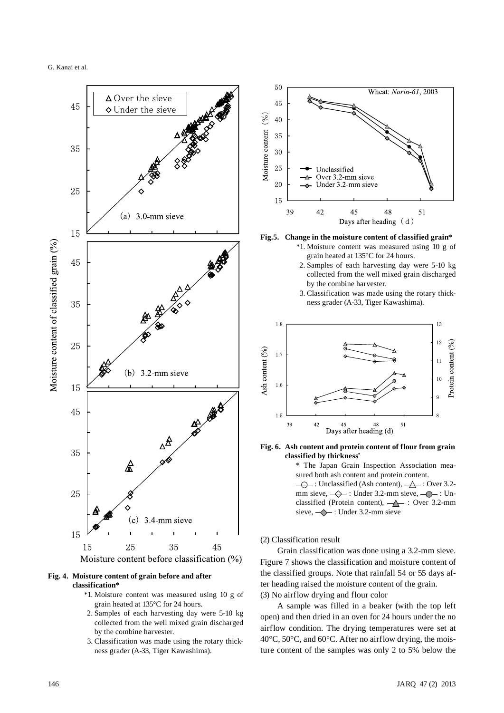



#### **Fig. 4. Moisture content of grain before and after classification\***

- \*1. Moisture content was measured using 10 g of grain heated at 135°C for 24 hours.
- 2. Samples of each harvesting day were 5-10 kg collected from the well mixed grain discharged by the combine harvester.
- 3. Classification was made using the rotary thickness grader (A-33, Tiger Kawashima).



**Fig.5. Change in the moisture content of classified grain\*** \*1. Moisture content was measured using 10 g of

- grain heated at 135°C for 24 hours. 2. Samples of each harvesting day were 5-10 kg collected from the well mixed grain discharged by the combine harvester.
- 3. Classification was made using the rotary thickness grader (A-33, Tiger Kawashima).



**Fig. 6. Ash content and protein content of flour from grain classified by thickness\***

> \* The Japan Grain Inspection Association measured both ash content and protein content.  $\overline{\bigoplus}$ : Unclassified (Ash content),  $\overline{\bigoplus}$ : Over 3.2mm sieve,  $\leftarrow \leftarrow$ : Under 3.2-mm sieve,  $\leftarrow \leftarrow$ : Unclassified (Protein content),  $\rightarrow$  : Over 3.2-mm sieve,  $\leftarrow$ : Under 3.2-mm sieve

(2) Classification result

Grain classification was done using a 3.2-mm sieve. Figure 7 shows the classification and moisture content of the classified groups. Note that rainfall 54 or 55 days after heading raised the moisture content of the grain. (3) No airflow drying and flour color

A sample was filled in a beaker (with the top left open) and then dried in an oven for 24 hours under the no airflow condition. The drying temperatures were set at 40°C, 50°C, and 60°C. After no airflow drying, the moisture content of the samples was only 2 to 5% below the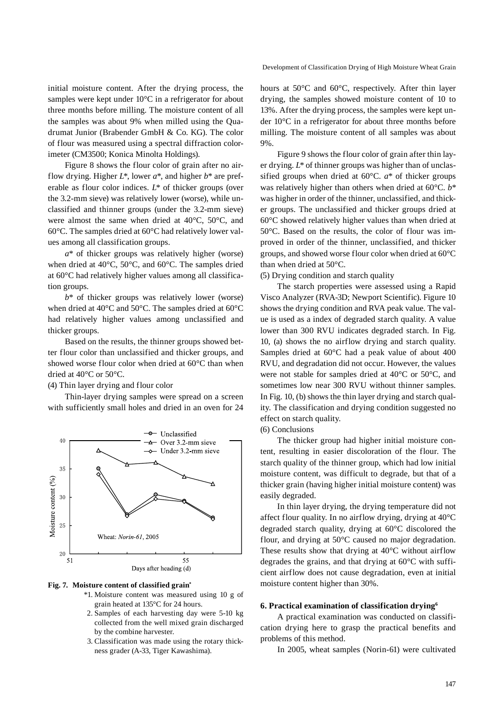initial moisture content. After the drying process, the samples were kept under 10°C in a refrigerator for about three months before milling. The moisture content of all the samples was about 9% when milled using the Quadrumat Junior (Brabender GmbH & Co. KG). The color of flour was measured using a spectral diffraction colorimeter (CM3500; Konica Minolta Holdings).

Figure 8 shows the flour color of grain after no airflow drying. Higher *L\**, lower *a\**, and higher *b\** are preferable as flour color indices. *L\** of thicker groups (over the 3.2-mm sieve) was relatively lower (worse), while unclassified and thinner groups (under the 3.2-mm sieve) were almost the same when dried at 40°C, 50°C, and 60°C. The samples dried at 60°C had relatively lower values among all classification groups.

*a\** of thicker groups was relatively higher (worse) when dried at 40°C, 50°C, and 60°C. The samples dried at 60°C had relatively higher values among all classification groups.

*b\** of thicker groups was relatively lower (worse) when dried at 40°C and 50°C. The samples dried at 60°C had relatively higher values among unclassified and thicker groups.

Based on the results, the thinner groups showed better flour color than unclassified and thicker groups, and showed worse flour color when dried at 60°C than when dried at 40°C or 50°C.

## (4) Thin layer drying and flour color

Thin-layer drying samples were spread on a screen with sufficiently small holes and dried in an oven for 24



#### **Fig. 7. Moisture content of classified grain\***

- \*1. Moisture content was measured using 10 g of grain heated at 135°C for 24 hours.
- 2. Samples of each harvesting day were 5-10 kg collected from the well mixed grain discharged by the combine harvester.
- 3. Classification was made using the rotary thickness grader (A-33, Tiger Kawashima).

hours at 50°C and 60°C, respectively. After thin layer drying, the samples showed moisture content of 10 to 13%. After the drying process, the samples were kept under 10°C in a refrigerator for about three months before milling. The moisture content of all samples was about 9%.

Figure 9 shows the flour color of grain after thin layer drying. *L\** of thinner groups was higher than of unclassified groups when dried at 60°C. *a\** of thicker groups was relatively higher than others when dried at 60°C. *b\** was higher in order of the thinner, unclassified, and thicker groups. The unclassified and thicker groups dried at 60°C showed relatively higher values than when dried at 50°C. Based on the results, the color of flour was improved in order of the thinner, unclassified, and thicker groups, and showed worse flour color when dried at 60°C than when dried at 50°C.

(5) Drying condition and starch quality

The starch properties were assessed using a Rapid Visco Analyzer (RVA-3D; Newport Scientific). Figure 10 shows the drying condition and RVA peak value. The value is used as a index of degraded starch quality. A value lower than 300 RVU indicates degraded starch. In Fig. 10, (a) shows the no airflow drying and starch quality. Samples dried at 60°C had a peak value of about 400 RVU, and degradation did not occur. However, the values were not stable for samples dried at 40°C or 50°C, and sometimes low near 300 RVU without thinner samples. In Fig. 10, (b) shows the thin layer drying and starch quality. The classification and drying condition suggested no effect on starch quality.

(6) Conclusions

The thicker group had higher initial moisture content, resulting in easier discoloration of the flour. The starch quality of the thinner group, which had low initial moisture content, was difficult to degrade, but that of a thicker grain (having higher initial moisture content) was easily degraded.

In thin layer drying, the drying temperature did not affect flour quality. In no airflow drying, drying at 40°C degraded starch quality, drying at 60°C discolored the flour, and drying at 50°C caused no major degradation. These results show that drying at 40°C without airflow degrades the grains, and that drying at 60°C with sufficient airflow does not cause degradation, even at initial moisture content higher than 30%.

#### **6. Practical examination of classification drying6**

A practical examination was conducted on classification drying here to grasp the practical benefits and problems of this method.

In 2005, wheat samples (Norin-61) were cultivated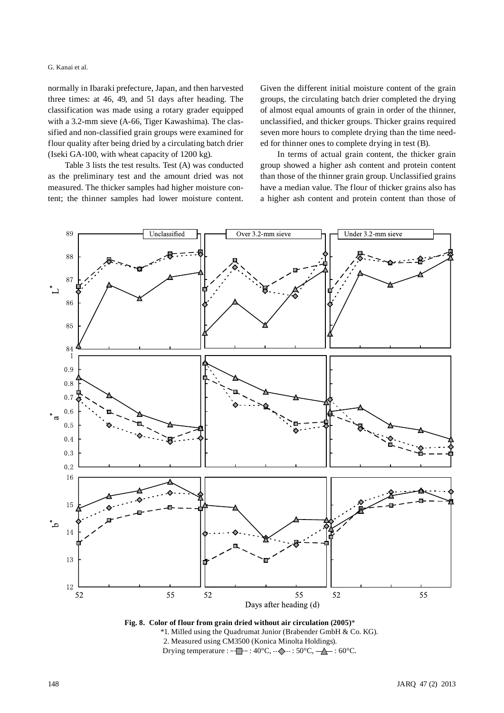G. Kanai et al.

normally in Ibaraki prefecture, Japan, and then harvested three times: at 46, 49, and 51 days after heading. The classification was made using a rotary grader equipped with a 3.2-mm sieve (A-66, Tiger Kawashima)*.* The classified and non-classified grain groups were examined for flour quality after being dried by a circulating batch drier (Iseki GA-100, with wheat capacity of 1200 kg).

Table 3 lists the test results. Test (A) was conducted as the preliminary test and the amount dried was not measured. The thicker samples had higher moisture content; the thinner samples had lower moisture content. Given the different initial moisture content of the grain groups, the circulating batch drier completed the drying of almost equal amounts of grain in order of the thinner, unclassified, and thicker groups. Thicker grains required seven more hours to complete drying than the time needed for thinner ones to complete drying in test (B).

In terms of actual grain content, the thicker grain group showed a higher ash content and protein content than those of the thinner grain group. Unclassified grains have a median value. The flour of thicker grains also has a higher ash content and protein content than those of



**Fig. 8. Color of flour from grain dried without air circulation (2005)**\* \*1. Milled using the Quadrumat Junior (Brabender GmbH & Co. KG). 2. Measured using CM3500 (Konica Minolta Holdings). Drying temperature :  $-\blacksquare$  - :  $40^{\circ}\text{C}$ ,  $\rightarrow \sim$  :  $50^{\circ}\text{C}$ ,  $\rightarrow \sim$  :  $60^{\circ}\text{C}$ .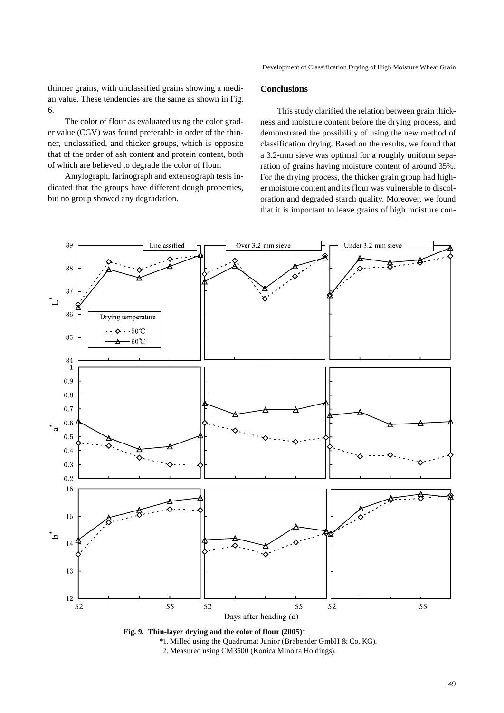Development of Classification Drying of High Moisture Wheat Grain

thinner grains, with unclassified grains showing a median value. These tendencies are the same as shown in Fig. 6.

The color of flour as evaluated using the color grader value (CGV) was found preferable in order of the thinner, unclassified, and thicker groups, which is opposite that of the order of ash content and protein content, both of which are believed to degrade the color of flour.

Amylograph, farinograph and extensograph tests indicated that the groups have different dough properties, but no group showed any degradation.

# **Conclusions**

This study clarified the relation between grain thickness and moisture content before the drying process, and demonstrated the possibility of using the new method of classification drying. Based on the results, we found that a 3.2-mm sieve was optimal for a roughly uniform separation of grains having moisture content of around 35%. For the drying process, the thicker grain group had higher moisture content and its flour was vulnerable to discoloration and degraded starch quality. Moreover, we found that it is important to leave grains of high moisture con-



**Fig. 9. Thin-layer drying and the color of flour (2005)**\*

\*1. Milled using the Quadrumat Junior (Brabender GmbH & Co. KG).

2. Measured using CM3500 (Konica Minolta Holdings).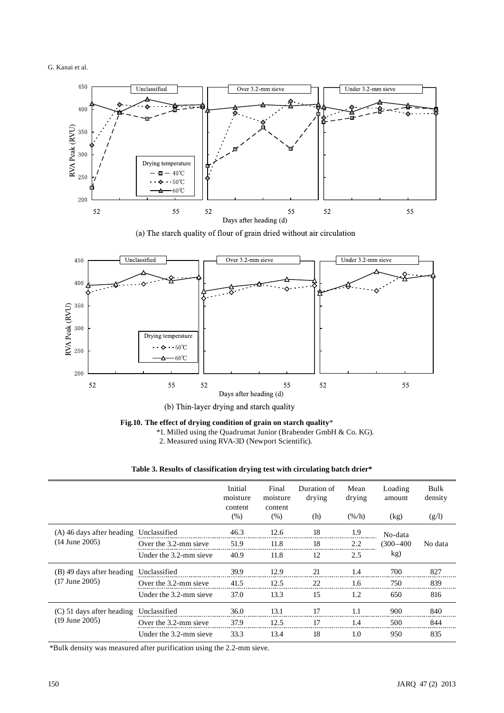



(a) The starch quality of flour of grain dried without air circulation



(b) Thin-layer drying and starch quality

**Fig.10. The effect of drying condition of grain on starch quality**\*

\*1. Milled using the Quadrumat Junior (Brabender GmbH & Co. KG).

2. Measured using RVA-3D (Newport Scientific).

# **Table 3. Results of classification drying test with circulating batch drier\***

|                                                   |                        | Initial<br>moisture<br>content | Final<br>moisture<br>content | Duration of<br>drying | Mean<br>drying   | Loading<br>amount | Bulk<br>density |
|---------------------------------------------------|------------------------|--------------------------------|------------------------------|-----------------------|------------------|-------------------|-----------------|
|                                                   |                        | (%)                            | (% )                         | (h)                   | $(\frac{\%}{h})$ | (kg)              | (g/l)           |
| (A) 46 days after heading<br>$(14$ June 2005)     | Unclassified           | 46.3                           | 12.6                         | 18                    | 1.9              | No-data           | No data         |
|                                                   | Over the 3.2-mm sieve  | 51.9                           | 11.8                         | 18                    | 2.2              | $(300 - 400)$     |                 |
|                                                   | Under the 3.2-mm sieve | 40.9                           | 11.8                         | 12                    | 2.5              | kg)               |                 |
| (B) 49 days after heading<br>$(17$ June $2005)$   | Unclassified           | 39.9                           | 12.9                         | 21                    | 1.4              | 700               | 827             |
|                                                   | Over the 3.2-mm sieve  | 41.5                           | 12.5                         | 22                    | 1.6              | 750               | 839             |
|                                                   | Under the 3.2-mm sieve | 37.0                           | 13.3                         | 15                    | 1.2              | 650               | 816             |
| $(C)$ 51 days after heading<br>$(19$ June $2005)$ | Unclassified           | 36.0                           | 13.1                         | 17                    | 1.1              | 900               | 840             |
|                                                   | Over the 3.2-mm sieve  | 37.9                           | 12.5                         | 17                    | 1.4              | 500               | 844             |
|                                                   | Under the 3.2-mm sieve | 33.3                           | 13.4                         | 18                    | 1.0              | 950               | 835             |

\*Bulk density was measured after purification using the 2.2-mm sieve.